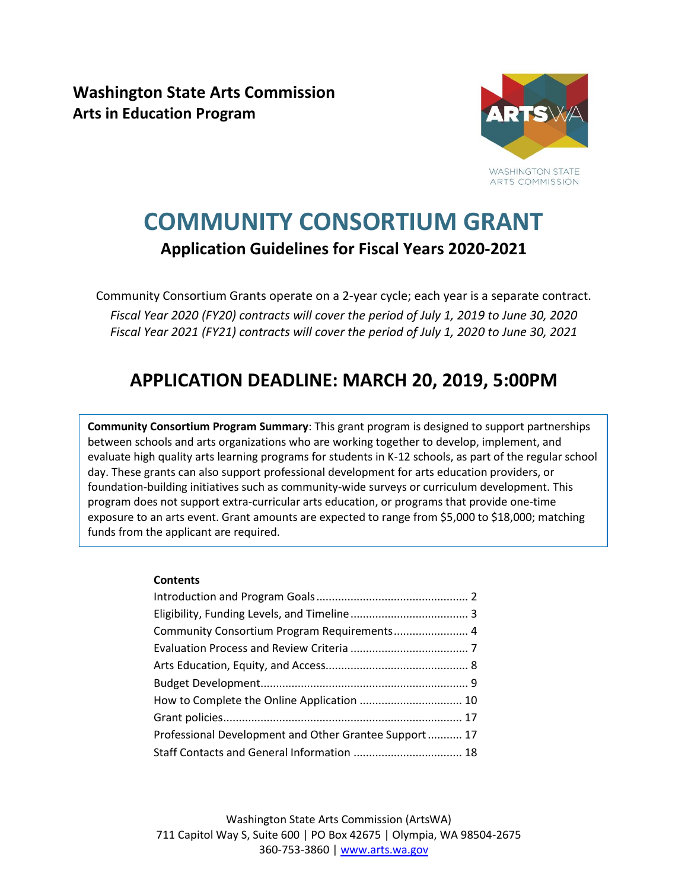**Washington State Arts Commission Arts in Education Program**



# **COMMUNITY CONSORTIUM GRANT Application Guidelines for Fiscal Years 2020-2021**

Community Consortium Grants operate on a 2-year cycle; each year is a separate contract. *Fiscal Year 2020 (FY20) contracts will cover the period of July 1, 2019 to June 30, 2020 Fiscal Year 2021 (FY21) contracts will cover the period of July 1, 2020 to June 30, 2021*

## **APPLICATION DEADLINE: MARCH 20, 2019, 5:00PM**

**Community Consortium Program Summary**: This grant program is designed to support partnerships between schools and arts organizations who are working together to develop, implement, and evaluate high quality arts learning programs for students in K-12 schools, as part of the regular school day. These grants can also support professional development for arts education providers, or foundation-building initiatives such as community-wide surveys or curriculum development. This program does not support extra-curricular arts education, or programs that provide one-time exposure to an arts event. Grant amounts are expected to range from \$5,000 to \$18,000; matching funds from the applicant are required.

#### **Contents**

| Professional Development and Other Grantee Support 17 |  |
|-------------------------------------------------------|--|
| Staff Contacts and General Information  18            |  |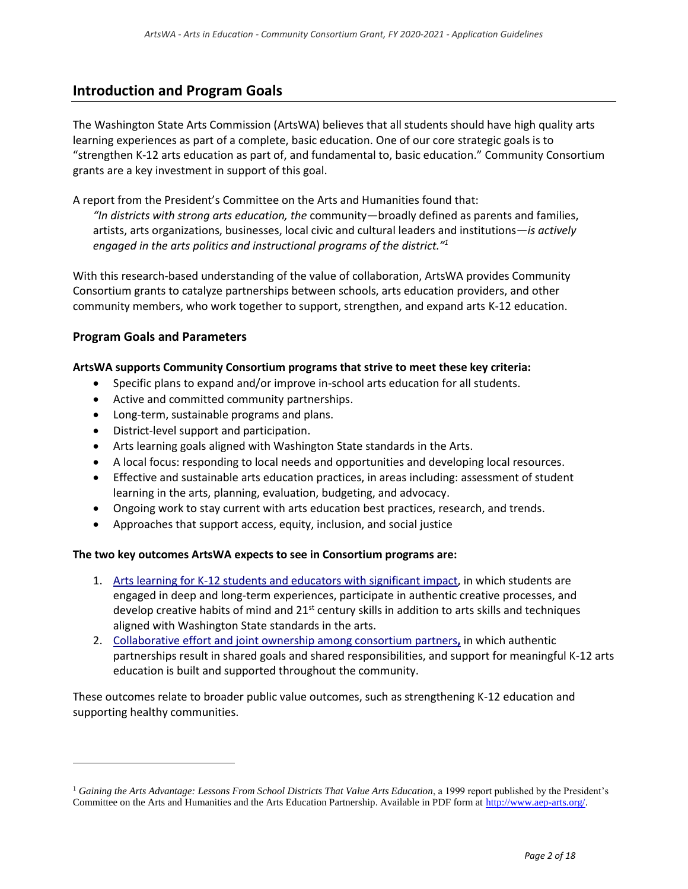### <span id="page-1-0"></span>**Introduction and Program Goals**

The Washington State Arts Commission (ArtsWA) believes that all students should have high quality arts learning experiences as part of a complete, basic education. One of our core strategic goals is to "strengthen K-12 arts education as part of, and fundamental to, basic education." Community Consortium grants are a key investment in support of this goal.

A report from the President's Committee on the Arts and Humanities found that:

*"In districts with strong arts education, the* community—broadly defined as parents and families, artists, arts organizations, businesses, local civic and cultural leaders and institutions*—is actively engaged in the arts politics and instructional programs of the district."<sup>1</sup>*

With this research-based understanding of the value of collaboration, ArtsWA provides Community Consortium grants to catalyze partnerships between schools, arts education providers, and other community members, who work together to support, strengthen, and expand arts K-12 education.

### **Program Goals and Parameters**

 $\overline{a}$ 

### **ArtsWA supports Community Consortium programs that strive to meet these key criteria:**

- Specific plans to expand and/or improve in-school arts education for all students.
- Active and committed community partnerships.
- Long-term, sustainable programs and plans.
- District-level support and participation.
- Arts learning goals aligned with Washington State standards in the Arts.
- A local focus: responding to local needs and opportunities and developing local resources.
- Effective and sustainable arts education practices, in areas including: assessment of student learning in the arts, planning, evaluation, budgeting, and advocacy.
- Ongoing work to stay current with arts education best practices, research, and trends.
- Approaches that support access, equity, inclusion, and social justice

#### **The two key outcomes ArtsWA expects to see in Consortium programs are:**

- 1. Arts learning for K-12 students and educators with significant impact, in which students are engaged in deep and long-term experiences, participate in authentic creative processes, and develop creative habits of mind and  $21<sup>st</sup>$  century skills in addition to arts skills and techniques aligned with Washington State standards in the arts.
- 2. Collaborative effort and joint ownership among consortium partners**,** in which authentic partnerships result in shared goals and shared responsibilities, and support for meaningful K-12 arts education is built and supported throughout the community.

These outcomes relate to broader public value outcomes, such as strengthening K-12 education and supporting healthy communities.

<sup>1</sup> *Gaining the Arts Advantage: Lessons From School Districts That Value Arts Education*, a 1999 report published by the President's Committee on the Arts and Humanities and the Arts Education Partnership. Available in PDF form at [http://www.aep-arts.org/.](http://www.aep-arts.org/)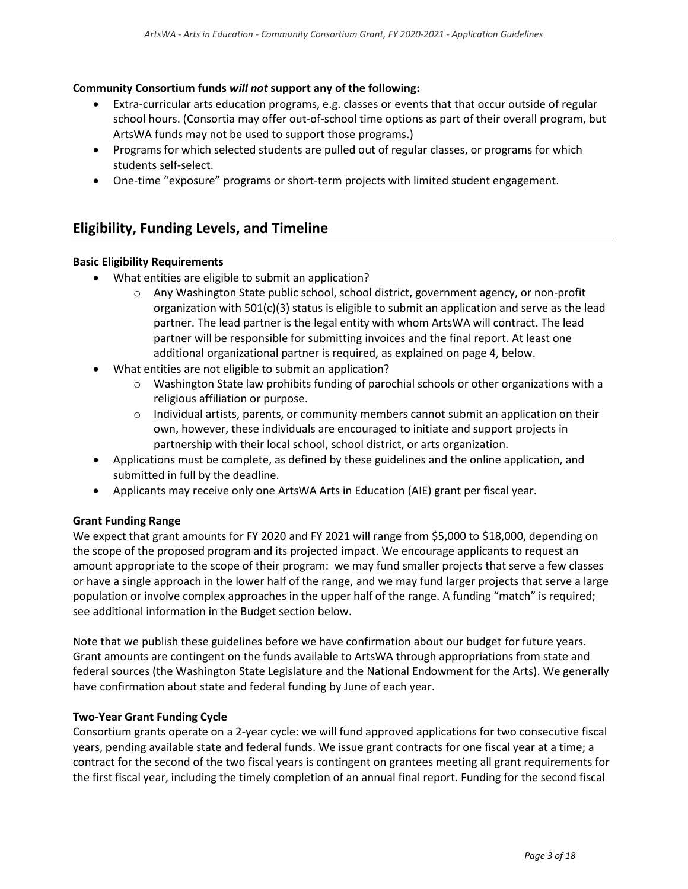### **Community Consortium funds** *will not* **support any of the following:**

- Extra-curricular arts education programs, e.g. classes or events that that occur outside of regular school hours. (Consortia may offer out-of-school time options as part of their overall program, but ArtsWA funds may not be used to support those programs.)
- Programs for which selected students are pulled out of regular classes, or programs for which students self-select.
- One-time "exposure" programs or short-term projects with limited student engagement.

### <span id="page-2-0"></span>**Eligibility, Funding Levels, and Timeline**

### **Basic Eligibility Requirements**

- What entities are eligible to submit an application?
	- o Any Washington State public school, school district, government agency, or non-profit organization with 501(c)(3) status is eligible to submit an application and serve as the lead partner. The lead partner is the legal entity with whom ArtsWA will contract. The lead partner will be responsible for submitting invoices and the final report. At least one additional organizational partner is required, as explained on page 4, below.
- What entities are not eligible to submit an application?
	- $\circ$  Washington State law prohibits funding of parochial schools or other organizations with a religious affiliation or purpose.
	- $\circ$  Individual artists, parents, or community members cannot submit an application on their own, however, these individuals are encouraged to initiate and support projects in partnership with their local school, school district, or arts organization.
- Applications must be complete, as defined by these guidelines and the online application, and submitted in full by the deadline.
- Applicants may receive only one ArtsWA Arts in Education (AIE) grant per fiscal year.

### **Grant Funding Range**

We expect that grant amounts for FY 2020 and FY 2021 will range from \$5,000 to \$18,000, depending on the scope of the proposed program and its projected impact. We encourage applicants to request an amount appropriate to the scope of their program: we may fund smaller projects that serve a few classes or have a single approach in the lower half of the range, and we may fund larger projects that serve a large population or involve complex approaches in the upper half of the range. A funding "match" is required; see additional information in the Budget section below.

Note that we publish these guidelines before we have confirmation about our budget for future years. Grant amounts are contingent on the funds available to ArtsWA through appropriations from state and federal sources (the Washington State Legislature and the National Endowment for the Arts). We generally have confirmation about state and federal funding by June of each year.

### **Two-Year Grant Funding Cycle**

Consortium grants operate on a 2-year cycle: we will fund approved applications for two consecutive fiscal years, pending available state and federal funds. We issue grant contracts for one fiscal year at a time; a contract for the second of the two fiscal years is contingent on grantees meeting all grant requirements for the first fiscal year, including the timely completion of an annual final report. Funding for the second fiscal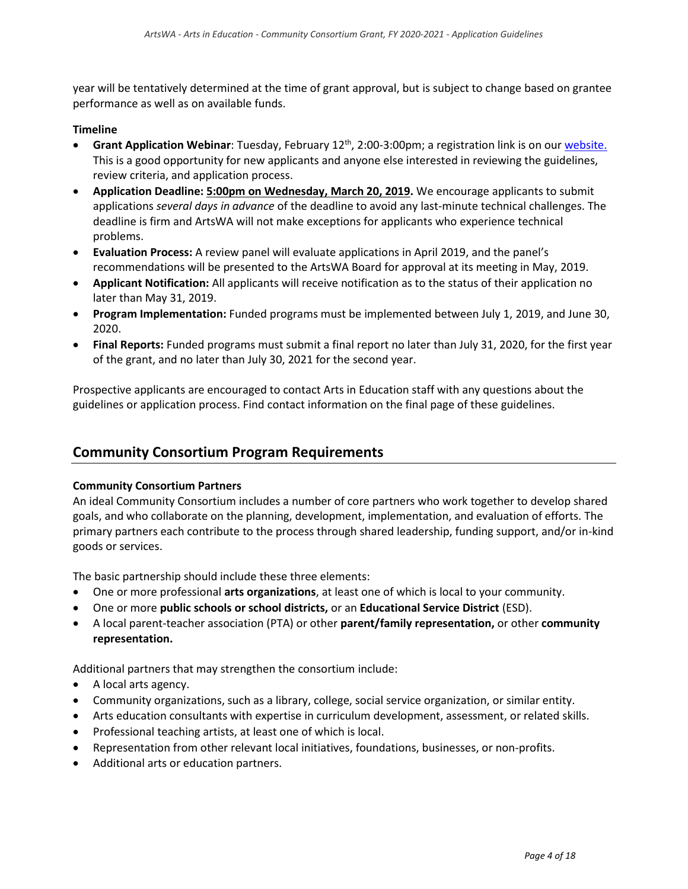year will be tentatively determined at the time of grant approval, but is subject to change based on grantee performance as well as on available funds.

### **Timeline**

- **Grant Application Webinar**: Tuesday, February 12<sup>th</sup>, 2:00-3:00pm; a registration link is on ou[r website.](https://www.arts.wa.gov/grants/arts-in-education-grants/community-consortium-grants) This is a good opportunity for new applicants and anyone else interested in reviewing the guidelines, review criteria, and application process.
- **Application Deadline: 5:00pm on Wednesday, March 20, 2019.** We encourage applicants to submit applications *several days in advance* of the deadline to avoid any last-minute technical challenges. The deadline is firm and ArtsWA will not make exceptions for applicants who experience technical problems.
- **Evaluation Process:** A review panel will evaluate applications in April 2019, and the panel's recommendations will be presented to the ArtsWA Board for approval at its meeting in May, 2019.
- **Applicant Notification:** All applicants will receive notification as to the status of their application no later than May 31, 2019.
- **Program Implementation:** Funded programs must be implemented between July 1, 2019, and June 30, 2020.
- **Final Reports:** Funded programs must submit a final report no later than July 31, 2020, for the first year of the grant, and no later than July 30, 2021 for the second year.

Prospective applicants are encouraged to contact Arts in Education staff with any questions about the guidelines or application process. Find contact information on the final page of these guidelines.

### <span id="page-3-0"></span>**Community Consortium Program Requirements**

#### **Community Consortium Partners**

An ideal Community Consortium includes a number of core partners who work together to develop shared goals, and who collaborate on the planning, development, implementation, and evaluation of efforts. The primary partners each contribute to the process through shared leadership, funding support, and/or in-kind goods or services.

The basic partnership should include these three elements:

- One or more professional **arts organizations**, at least one of which is local to your community.
- One or more **public schools or school districts,** or an **Educational Service District** (ESD).
- A local parent-teacher association (PTA) or other **parent/family representation,** or other **community representation.**

Additional partners that may strengthen the consortium include:

- A local arts agency.
- Community organizations, such as a library, college, social service organization, or similar entity.
- Arts education consultants with expertise in curriculum development, assessment, or related skills.
- Professional teaching artists, at least one of which is local.
- Representation from other relevant local initiatives, foundations, businesses, or non-profits.
- Additional arts or education partners.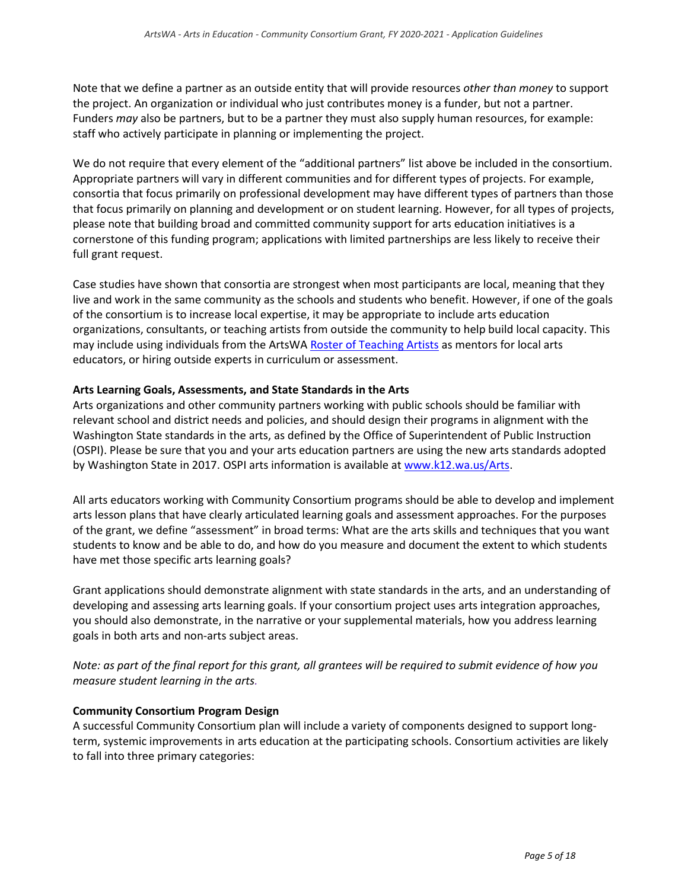Note that we define a partner as an outside entity that will provide resources *other than money* to support the project. An organization or individual who just contributes money is a funder, but not a partner. Funders *may* also be partners, but to be a partner they must also supply human resources, for example: staff who actively participate in planning or implementing the project.

We do not require that every element of the "additional partners" list above be included in the consortium. Appropriate partners will vary in different communities and for different types of projects. For example, consortia that focus primarily on professional development may have different types of partners than those that focus primarily on planning and development or on student learning. However, for all types of projects, please note that building broad and committed community support for arts education initiatives is a cornerstone of this funding program; applications with limited partnerships are less likely to receive their full grant request.

Case studies have shown that consortia are strongest when most participants are local, meaning that they live and work in the same community as the schools and students who benefit. However, if one of the goals of the consortium is to increase local expertise, it may be appropriate to include arts education organizations, consultants, or teaching artists from outside the community to help build local capacity. This may include using individuals from the ArtsWA [Roster of Teaching Artists](http://www.arts.wa.gov/arts-in-education/teaching-artists) as mentors for local arts educators, or hiring outside experts in curriculum or assessment.

### **Arts Learning Goals, Assessments, and State Standards in the Arts**

Arts organizations and other community partners working with public schools should be familiar with relevant school and district needs and policies, and should design their programs in alignment with the Washington State standards in the arts, as defined by the Office of Superintendent of Public Instruction (OSPI). Please be sure that you and your arts education partners are using the new arts standards adopted by Washington State in 2017. OSPI arts information is available at [www.k12.wa.us/Arts.](http://www.k12.wa.us/Arts)

All arts educators working with Community Consortium programs should be able to develop and implement arts lesson plans that have clearly articulated learning goals and assessment approaches. For the purposes of the grant, we define "assessment" in broad terms: What are the arts skills and techniques that you want students to know and be able to do, and how do you measure and document the extent to which students have met those specific arts learning goals?

Grant applications should demonstrate alignment with state standards in the arts, and an understanding of developing and assessing arts learning goals. If your consortium project uses arts integration approaches, you should also demonstrate, in the narrative or your supplemental materials, how you address learning goals in both arts and non-arts subject areas.

*Note: as part of the final report for this grant, all grantees will be required to submit evidence of how you measure student learning in the arts.*

### **Community Consortium Program Design**

A successful Community Consortium plan will include a variety of components designed to support longterm, systemic improvements in arts education at the participating schools. Consortium activities are likely to fall into three primary categories: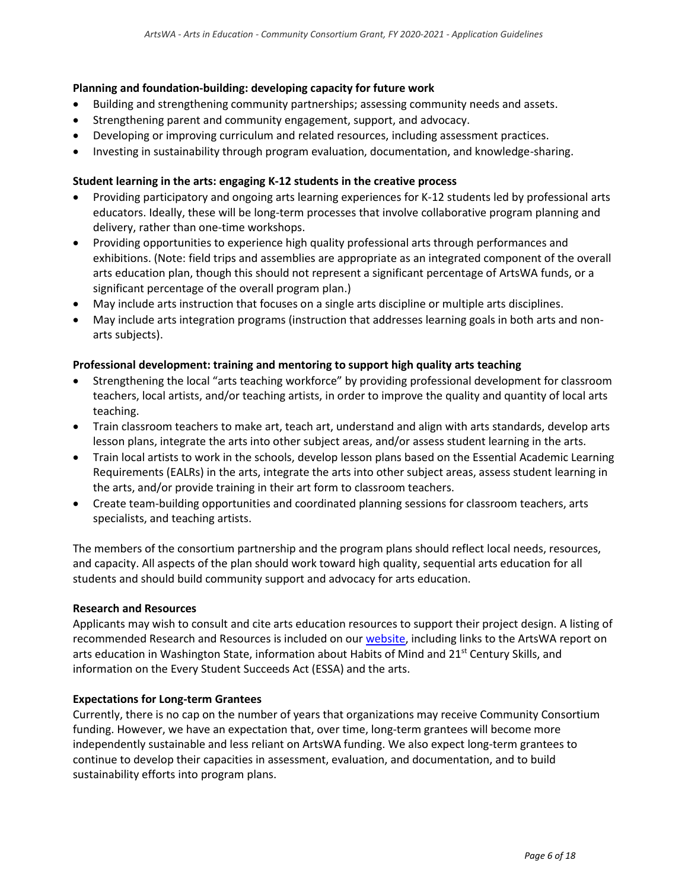### **Planning and foundation-building: developing capacity for future work**

- Building and strengthening community partnerships; assessing community needs and assets.
- Strengthening parent and community engagement, support, and advocacy.
- Developing or improving curriculum and related resources, including assessment practices.
- Investing in sustainability through program evaluation, documentation, and knowledge-sharing.

### **Student learning in the arts: engaging K-12 students in the creative process**

- Providing participatory and ongoing arts learning experiences for K-12 students led by professional arts educators. Ideally, these will be long-term processes that involve collaborative program planning and delivery, rather than one-time workshops.
- Providing opportunities to experience high quality professional arts through performances and exhibitions. (Note: field trips and assemblies are appropriate as an integrated component of the overall arts education plan, though this should not represent a significant percentage of ArtsWA funds, or a significant percentage of the overall program plan.)
- May include arts instruction that focuses on a single arts discipline or multiple arts disciplines.
- May include arts integration programs (instruction that addresses learning goals in both arts and nonarts subjects).

### **Professional development: training and mentoring to support high quality arts teaching**

- Strengthening the local "arts teaching workforce" by providing professional development for classroom teachers, local artists, and/or teaching artists, in order to improve the quality and quantity of local arts teaching.
- Train classroom teachers to make art, teach art, understand and align with arts standards, develop arts lesson plans, integrate the arts into other subject areas, and/or assess student learning in the arts.
- Train local artists to work in the schools, develop lesson plans based on the Essential Academic Learning Requirements (EALRs) in the arts, integrate the arts into other subject areas, assess student learning in the arts, and/or provide training in their art form to classroom teachers.
- Create team-building opportunities and coordinated planning sessions for classroom teachers, arts specialists, and teaching artists.

The members of the consortium partnership and the program plans should reflect local needs, resources, and capacity. All aspects of the plan should work toward high quality, sequential arts education for all students and should build community support and advocacy for arts education.

### **Research and Resources**

Applicants may wish to consult and cite arts education resources to support their project design. A listing of recommended Research and Resources is included on ou[r website,](http://www.arts.wa.gov/grants/arts-in-education-grants/community-consortium-grants) including links to the ArtsWA report on arts education in Washington State, information about Habits of Mind and 21<sup>st</sup> Century Skills, and information on the Every Student Succeeds Act (ESSA) and the arts.

### **Expectations for Long-term Grantees**

Currently, there is no cap on the number of years that organizations may receive Community Consortium funding. However, we have an expectation that, over time, long-term grantees will become more independently sustainable and less reliant on ArtsWA funding. We also expect long-term grantees to continue to develop their capacities in assessment, evaluation, and documentation, and to build sustainability efforts into program plans.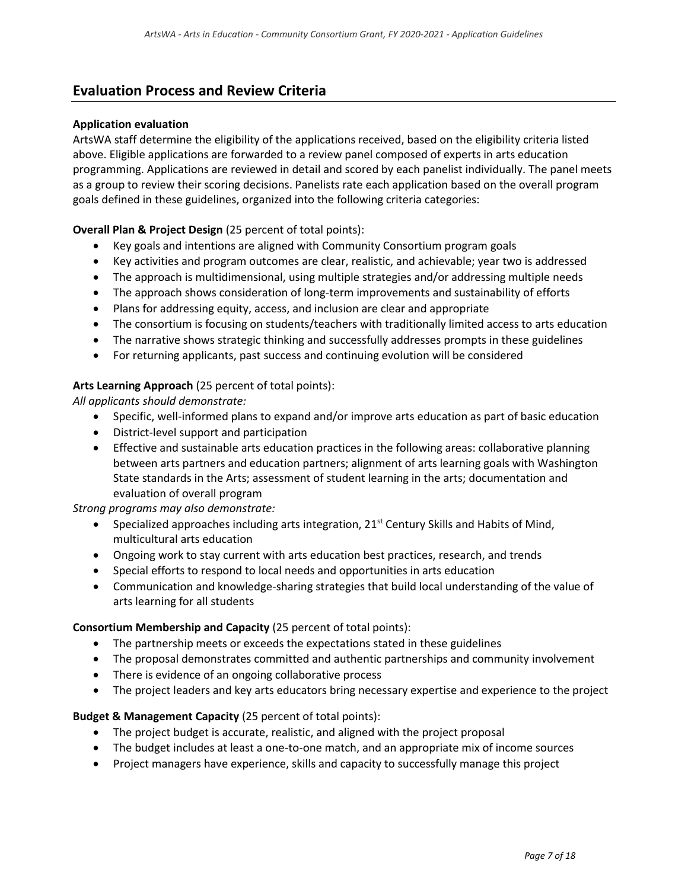### <span id="page-6-0"></span>**Evaluation Process and Review Criteria**

### **Application evaluation**

ArtsWA staff determine the eligibility of the applications received, based on the eligibility criteria listed above. Eligible applications are forwarded to a review panel composed of experts in arts education programming. Applications are reviewed in detail and scored by each panelist individually. The panel meets as a group to review their scoring decisions. Panelists rate each application based on the overall program goals defined in these guidelines, organized into the following criteria categories:

### **Overall Plan & Project Design** (25 percent of total points):

- Key goals and intentions are aligned with Community Consortium program goals
- Key activities and program outcomes are clear, realistic, and achievable; year two is addressed
- The approach is multidimensional, using multiple strategies and/or addressing multiple needs
- The approach shows consideration of long-term improvements and sustainability of efforts
- Plans for addressing equity, access, and inclusion are clear and appropriate
- The consortium is focusing on students/teachers with traditionally limited access to arts education
- The narrative shows strategic thinking and successfully addresses prompts in these guidelines
- For returning applicants, past success and continuing evolution will be considered

### **Arts Learning Approach** (25 percent of total points):

*All applicants should demonstrate:*

- Specific, well-informed plans to expand and/or improve arts education as part of basic education
- District-level support and participation
- Effective and sustainable arts education practices in the following areas: collaborative planning between arts partners and education partners; alignment of arts learning goals with Washington State standards in the Arts; assessment of student learning in the arts; documentation and evaluation of overall program

*Strong programs may also demonstrate:*

- Specialized approaches including arts integration,  $21^{st}$  Century Skills and Habits of Mind, multicultural arts education
- Ongoing work to stay current with arts education best practices, research, and trends
- Special efforts to respond to local needs and opportunities in arts education
- Communication and knowledge-sharing strategies that build local understanding of the value of arts learning for all students

#### **Consortium Membership and Capacity** (25 percent of total points):

- The partnership meets or exceeds the expectations stated in these guidelines
- The proposal demonstrates committed and authentic partnerships and community involvement
- There is evidence of an ongoing collaborative process
- The project leaders and key arts educators bring necessary expertise and experience to the project

### **Budget & Management Capacity** (25 percent of total points):

- The project budget is accurate, realistic, and aligned with the project proposal
- The budget includes at least a one-to-one match, and an appropriate mix of income sources
- Project managers have experience, skills and capacity to successfully manage this project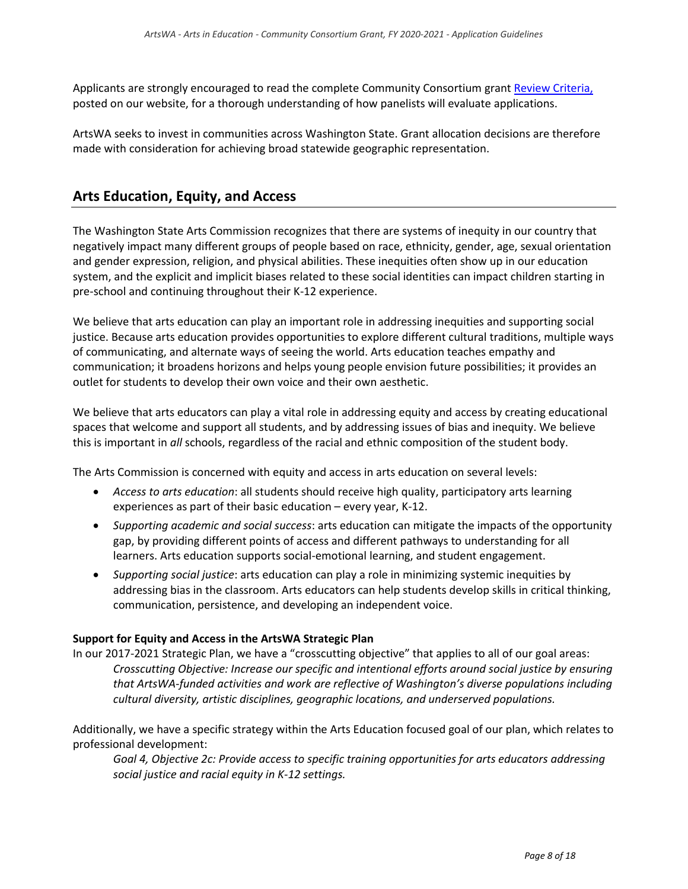Applicants are strongly encouraged to read the complete Community Consortium gran[t Review Criteria,](https://www.arts.wa.gov/grants/arts-in-education-grants/community-consortium-grants) posted on our website, for a thorough understanding of how panelists will evaluate applications.

ArtsWA seeks to invest in communities across Washington State. Grant allocation decisions are therefore made with consideration for achieving broad statewide geographic representation.

### <span id="page-7-0"></span>**Arts Education, Equity, and Access**

The Washington State Arts Commission recognizes that there are systems of inequity in our country that negatively impact many different groups of people based on race, ethnicity, gender, age, sexual orientation and gender expression, religion, and physical abilities. These inequities often show up in our education system, and the explicit and implicit biases related to these social identities can impact children starting in pre-school and continuing throughout their K-12 experience.

We believe that arts education can play an important role in addressing inequities and supporting social justice. Because arts education provides opportunities to explore different cultural traditions, multiple ways of communicating, and alternate ways of seeing the world. Arts education teaches empathy and communication; it broadens horizons and helps young people envision future possibilities; it provides an outlet for students to develop their own voice and their own aesthetic.

We believe that arts educators can play a vital role in addressing equity and access by creating educational spaces that welcome and support all students, and by addressing issues of bias and inequity. We believe this is important in *all* schools, regardless of the racial and ethnic composition of the student body.

The Arts Commission is concerned with equity and access in arts education on several levels:

- *Access to arts education*: all students should receive high quality, participatory arts learning experiences as part of their basic education – every year, K-12.
- *Supporting academic and social success*: arts education can mitigate the impacts of the opportunity gap, by providing different points of access and different pathways to understanding for all learners. Arts education supports social-emotional learning, and student engagement.
- *Supporting social justice*: arts education can play a role in minimizing systemic inequities by addressing bias in the classroom. Arts educators can help students develop skills in critical thinking, communication, persistence, and developing an independent voice.

### **Support for Equity and Access in the ArtsWA Strategic Plan**

In our 2017-2021 Strategic Plan, we have a "crosscutting objective" that applies to all of our goal areas: *Crosscutting Objective: Increase our specific and intentional efforts around social justice by ensuring that ArtsWA-funded activities and work are reflective of Washington's diverse populations including cultural diversity, artistic disciplines, geographic locations, and underserved populations.*

Additionally, we have a specific strategy within the Arts Education focused goal of our plan, which relates to professional development:

*Goal 4, Objective 2c: Provide access to specific training opportunities for arts educators addressing social justice and racial equity in K-12 settings.*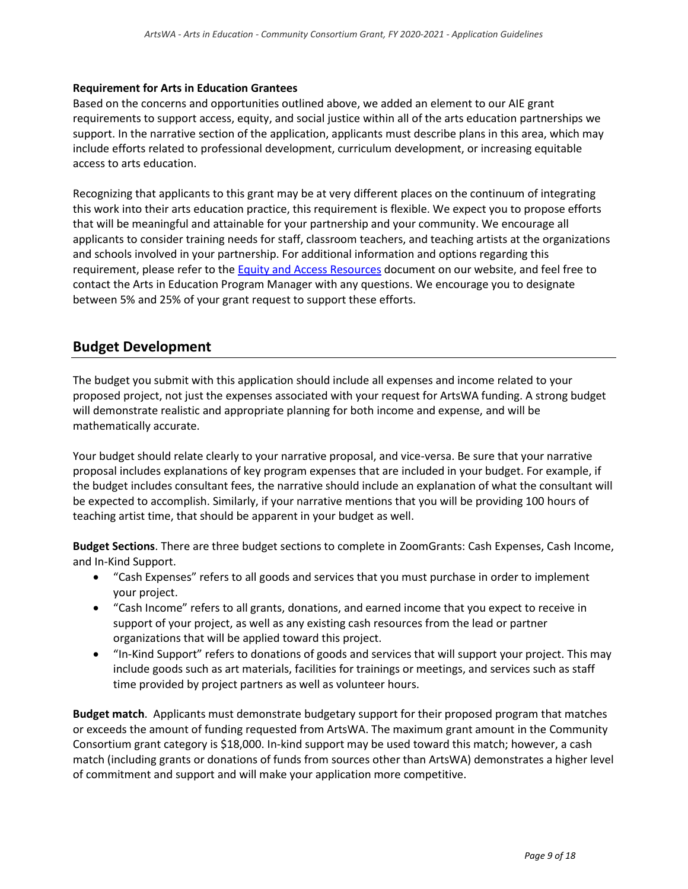### **Requirement for Arts in Education Grantees**

Based on the concerns and opportunities outlined above, we added an element to our AIE grant requirements to support access, equity, and social justice within all of the arts education partnerships we support. In the narrative section of the application, applicants must describe plans in this area, which may include efforts related to professional development, curriculum development, or increasing equitable access to arts education.

Recognizing that applicants to this grant may be at very different places on the continuum of integrating this work into their arts education practice, this requirement is flexible. We expect you to propose efforts that will be meaningful and attainable for your partnership and your community. We encourage all applicants to consider training needs for staff, classroom teachers, and teaching artists at the organizations and schools involved in your partnership. For additional information and options regarding this requirement, please refer to the **Equity and Access Resources document on our website**, and feel free to contact the Arts in Education Program Manager with any questions. We encourage you to designate between 5% and 25% of your grant request to support these efforts.

### <span id="page-8-0"></span>**Budget Development**

The budget you submit with this application should include all expenses and income related to your proposed project, not just the expenses associated with your request for ArtsWA funding. A strong budget will demonstrate realistic and appropriate planning for both income and expense, and will be mathematically accurate.

Your budget should relate clearly to your narrative proposal, and vice-versa. Be sure that your narrative proposal includes explanations of key program expenses that are included in your budget. For example, if the budget includes consultant fees, the narrative should include an explanation of what the consultant will be expected to accomplish. Similarly, if your narrative mentions that you will be providing 100 hours of teaching artist time, that should be apparent in your budget as well.

**Budget Sections**. There are three budget sections to complete in ZoomGrants: Cash Expenses, Cash Income, and In-Kind Support.

- "Cash Expenses" refers to all goods and services that you must purchase in order to implement your project.
- "Cash Income" refers to all grants, donations, and earned income that you expect to receive in support of your project, as well as any existing cash resources from the lead or partner organizations that will be applied toward this project.
- "In-Kind Support" refers to donations of goods and services that will support your project. This may include goods such as art materials, facilities for trainings or meetings, and services such as staff time provided by project partners as well as volunteer hours.

**Budget match**. Applicants must demonstrate budgetary support for their proposed program that matches or exceeds the amount of funding requested from ArtsWA. The maximum grant amount in the Community Consortium grant category is \$18,000. In-kind support may be used toward this match; however, a cash match (including grants or donations of funds from sources other than ArtsWA) demonstrates a higher level of commitment and support and will make your application more competitive.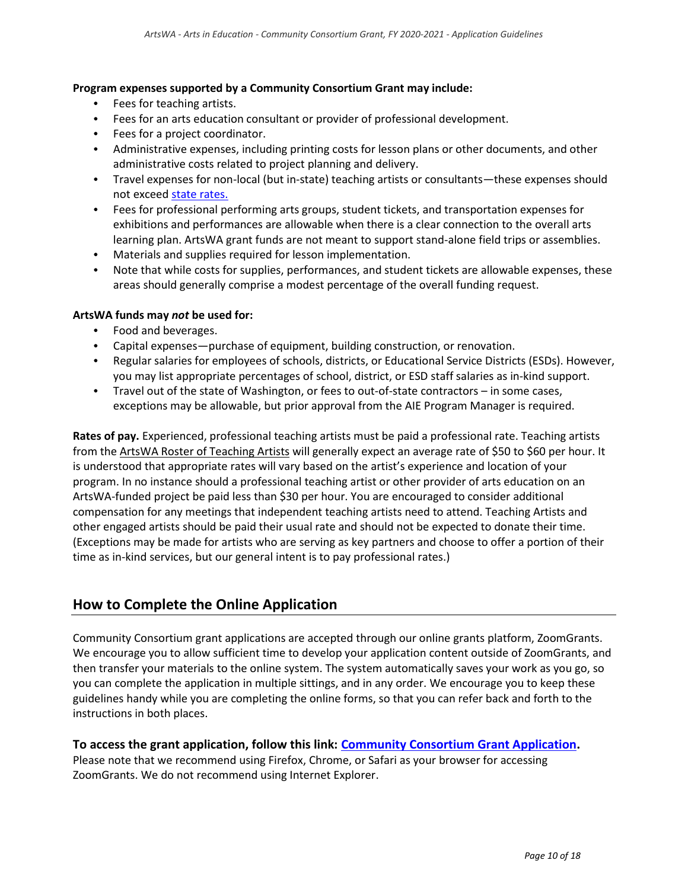### **Program expenses supported by a Community Consortium Grant may include:**

- Fees for teaching artists.
- Fees for an arts education consultant or provider of professional development.
- Fees for a project coordinator.
- Administrative expenses, including printing costs for lesson plans or other documents, and other administrative costs related to project planning and delivery.
- $\bullet$ Travel expenses for non-local (but in-state) teaching artists or consultants—these expenses should not excee[d state rates.](https://www.ofm.wa.gov/sites/default/files/public/resources/travel/colormap.pdf)
- Fees for professional performing arts groups, student tickets, and transportation expenses for exhibitions and performances are allowable when there is a clear connection to the overall arts learning plan. ArtsWA grant funds are not meant to support stand-alone field trips or assemblies.
- Materials and supplies required for lesson implementation.
- Note that while costs for supplies, performances, and student tickets are allowable expenses, these areas should generally comprise a modest percentage of the overall funding request.

#### **ArtsWA funds may** *not* **be used for:**

- Food and beverages.
- Capital expenses—purchase of equipment, building construction, or renovation.
- Regular salaries for employees of schools, districts, or Educational Service Districts (ESDs). However, you may list appropriate percentages of school, district, or ESD staff salaries as in-kind support.
- $\bullet$  . Travel out of the state of Washington, or fees to out-of-state contractors – in some cases, exceptions may be allowable, but prior approval from the AIE Program Manager is required.

**Rates of pay.** Experienced, professional teaching artists must be paid a professional rate. Teaching artists from th[e ArtsWA Roster of Teaching Artists](http://www.arts.wa.gov/arts-in-education/pages/teaching-artists) will generally expect an average rate of \$50 to \$60 per hour. It is understood that appropriate rates will vary based on the artist's experience and location of your program. In no instance should a professional teaching artist or other provider of arts education on an ArtsWA-funded project be paid less than \$30 per hour. You are encouraged to consider additional compensation for any meetings that independent teaching artists need to attend. Teaching Artists and other engaged artists should be paid their usual rate and should not be expected to donate their time. (Exceptions may be made for artists who are serving as key partners and choose to offer a portion of their time as in-kind services, but our general intent is to pay professional rates.)

### <span id="page-9-0"></span>**How to Complete the Online Application**

Community Consortium grant applications are accepted through our online grants platform, ZoomGrants. We encourage you to allow sufficient time to develop your application content outside of ZoomGrants, and then transfer your materials to the online system. The system automatically saves your work as you go, so you can complete the application in multiple sittings, and in any order. We encourage you to keep these guidelines handy while you are completing the online forms, so that you can refer back and forth to the instructions in both places.

### **To access the grant application, follow this link: [Community Consortium](https://zoomgrants.com/gprop.asp?donorid=2273&limited=1860) Grant Application.**

Please note that we recommend using Firefox, Chrome, or Safari as your browser for accessing ZoomGrants. We do not recommend using Internet Explorer.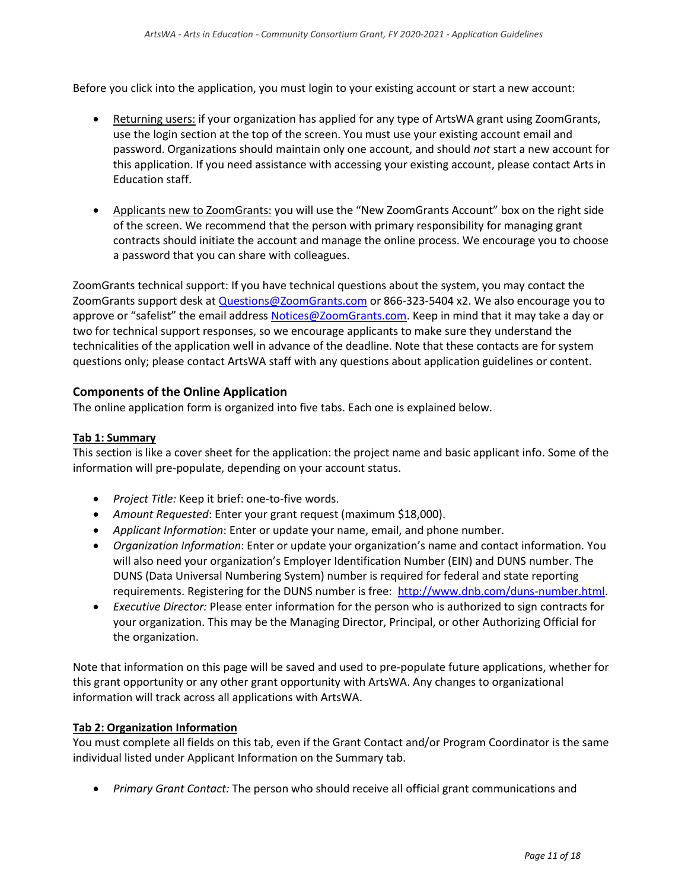Before you click into the application, you must login to your existing account or start a new account:

- Returning users: if your organization has applied for any type of ArtsWA grant using ZoomGrants, use the login section at the top of the screen. You must use your existing account email and password. Organizations should maintain only one account, and should *not* start a new account for this application. If you need assistance with accessing your existing account, please contact Arts in Education staff.
- Applicants new to ZoomGrants: you will use the "New ZoomGrants Account" box on the right side of the screen. We recommend that the person with primary responsibility for managing grant contracts should initiate the account and manage the online process. We encourage you to choose a password that you can share with colleagues.

ZoomGrants technical support: If you have technical questions about the system, you may contact the ZoomGrants support desk a[t Questions@ZoomGrants.com](mailto:Questions@ZoomGrants.com) o[r 866-323-5404 x2.](tel:(866)%20323-5404) We also encourage you to approve or "safelist" the email address [Notices@ZoomGrants.com.](mailto:Notices@ZoomGrants.com) Keep in mind that it may take a day or two for technical support responses, so we encourage applicants to make sure they understand the technicalities of the application well in advance of the deadline. Note that these contacts are for system questions only; please contact ArtsWA staff with any questions about application guidelines or content.

### **Components of the Online Application**

The online application form is organized into five tabs. Each one is explained below.

### **Tab 1: Summary**

This section is like a cover sheet for the application: the project name and basic applicant info. Some of the information will pre-populate, depending on your account status.

- *Project Title:* Keep it brief: one-to-five words.
- *Amount Requested*: Enter your grant request (maximum \$18,000).
- *Applicant Information*: Enter or update your name, email, and phone number.
- *Organization Information*: Enter or update your organization's name and contact information. You will also need your organization's Employer Identification Number (EIN) and DUNS number. The DUNS (Data Universal Numbering System) number is required for federal and state reporting requirements. Registering for the DUNS number is free: [http://www.dnb.com/duns-number.html.](http://www.dnb.com/duns-number.html)
- *Executive Director:* Please enter information for the person who is authorized to sign contracts for your organization. This may be the Managing Director, Principal, or other Authorizing Official for the organization.

Note that information on this page will be saved and used to pre-populate future applications, whether for this grant opportunity or any other grant opportunity with ArtsWA. Any changes to organizational information will track across all applications with ArtsWA.

### **Tab 2: Organization Information**

You must complete all fields on this tab, even if the Grant Contact and/or Program Coordinator is the same individual listed under Applicant Information on the Summary tab.

*Primary Grant Contact:* The person who should receive all official grant communications and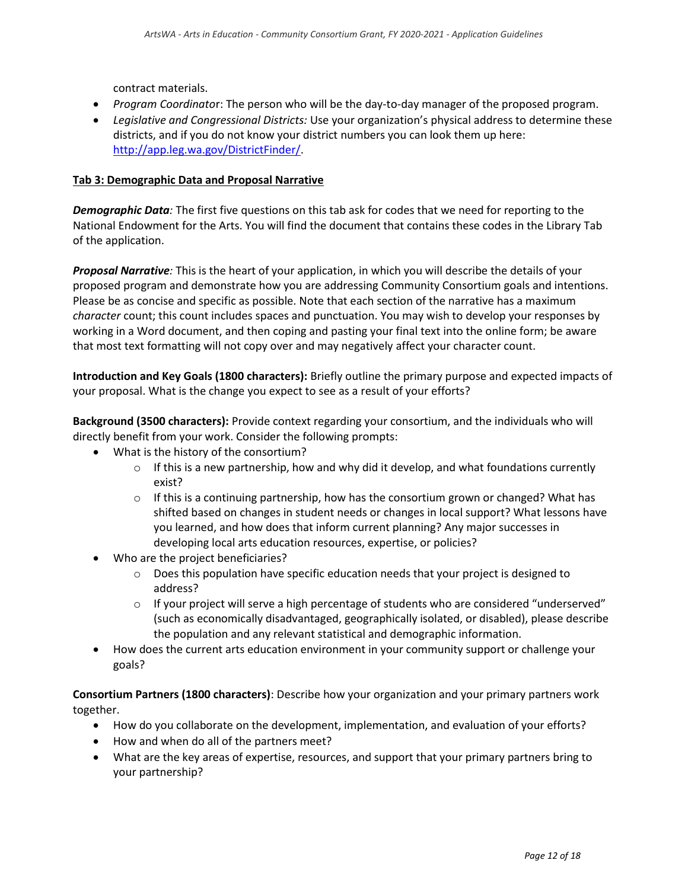contract materials.

- *Program Coordinato*r: The person who will be the day-to-day manager of the proposed program.
- *Legislative and Congressional Districts:* Use your organization's physical address to determine these districts, and if you do not know your district numbers you can look them up here: [http://app.leg.wa.gov/DistrictFinder/.](http://app.leg.wa.gov/DistrictFinder/)

### **Tab 3: Demographic Data and Proposal Narrative**

*Demographic Data:* The first five questions on this tab ask for codes that we need for reporting to the National Endowment for the Arts. You will find the document that contains these codes in the Library Tab of the application.

*Proposal Narrative:* This is the heart of your application, in which you will describe the details of your proposed program and demonstrate how you are addressing Community Consortium goals and intentions. Please be as concise and specific as possible. Note that each section of the narrative has a maximum *character* count; this count includes spaces and punctuation. You may wish to develop your responses by working in a Word document, and then coping and pasting your final text into the online form; be aware that most text formatting will not copy over and may negatively affect your character count.

**Introduction and Key Goals (1800 characters):** Briefly outline the primary purpose and expected impacts of your proposal. What is the change you expect to see as a result of your efforts?

**Background (3500 characters):** Provide context regarding your consortium, and the individuals who will directly benefit from your work. Consider the following prompts:

- What is the history of the consortium?
	- $\circ$  If this is a new partnership, how and why did it develop, and what foundations currently exist?
	- $\circ$  If this is a continuing partnership, how has the consortium grown or changed? What has shifted based on changes in student needs or changes in local support? What lessons have you learned, and how does that inform current planning? Any major successes in developing local arts education resources, expertise, or policies?
- Who are the project beneficiaries?
	- $\circ$  Does this population have specific education needs that your project is designed to address?
	- $\circ$  If your project will serve a high percentage of students who are considered "underserved" (such as economically disadvantaged, geographically isolated, or disabled), please describe the population and any relevant statistical and demographic information.
- How does the current arts education environment in your community support or challenge your goals?

**Consortium Partners (1800 characters)**: Describe how your organization and your primary partners work together.

- How do you collaborate on the development, implementation, and evaluation of your efforts?
- How and when do all of the partners meet?
- What are the key areas of expertise, resources, and support that your primary partners bring to your partnership?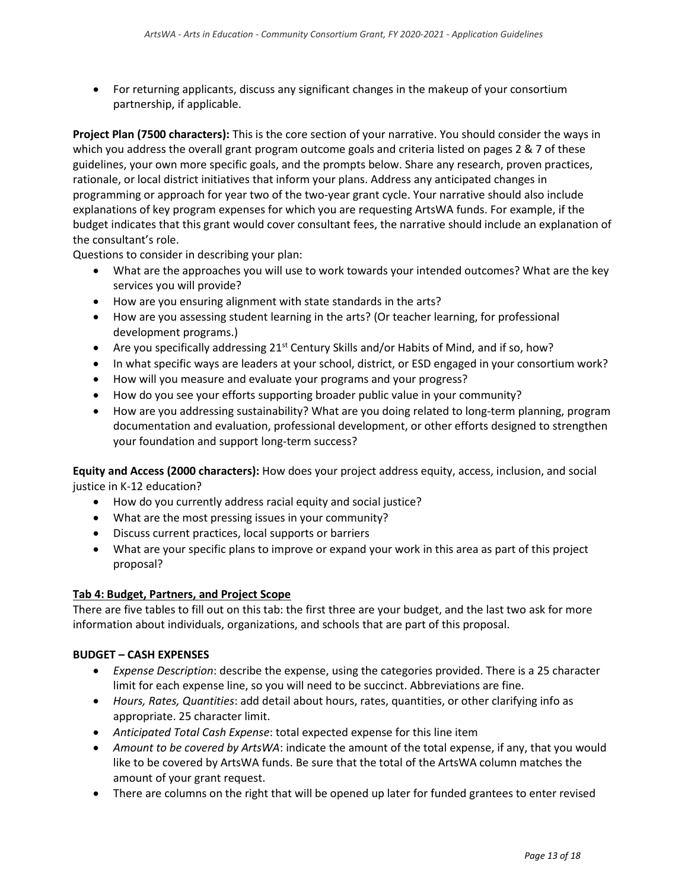For returning applicants, discuss any significant changes in the makeup of your consortium partnership, if applicable.

**Project Plan (7500 characters):** This is the core section of your narrative. You should consider the ways in which you address the overall grant program outcome goals and criteria listed on pages 2 & 7 of these guidelines, your own more specific goals, and the prompts below. Share any research, proven practices, rationale, or local district initiatives that inform your plans. Address any anticipated changes in programming or approach for year two of the two-year grant cycle. Your narrative should also include explanations of key program expenses for which you are requesting ArtsWA funds. For example, if the budget indicates that this grant would cover consultant fees, the narrative should include an explanation of the consultant's role.

Questions to consider in describing your plan:

- What are the approaches you will use to work towards your intended outcomes? What are the key services you will provide?
- How are you ensuring alignment with state standards in the arts?
- How are you assessing student learning in the arts? (Or teacher learning, for professional development programs.)
- Are you specifically addressing  $21<sup>st</sup>$  Century Skills and/or Habits of Mind, and if so, how?
- In what specific ways are leaders at your school, district, or ESD engaged in your consortium work?
- How will you measure and evaluate your programs and your progress?
- How do you see your efforts supporting broader public value in your community?
- How are you addressing sustainability? What are you doing related to long-term planning, program documentation and evaluation, professional development, or other efforts designed to strengthen your foundation and support long-term success?

**Equity and Access (2000 characters):** How does your project address equity, access, inclusion, and social justice in K-12 education?

- How do you currently address racial equity and social justice?
- What are the most pressing issues in your community?
- Discuss current practices, local supports or barriers
- What are your specific plans to improve or expand your work in this area as part of this project proposal?

### **Tab 4: Budget, Partners, and Project Scope**

There are five tables to fill out on this tab: the first three are your budget, and the last two ask for more information about individuals, organizations, and schools that are part of this proposal.

### **BUDGET – CASH EXPENSES**

- *Expense Description*: describe the expense, using the categories provided. There is a 25 character limit for each expense line, so you will need to be succinct. Abbreviations are fine.
- *Hours, Rates, Quantities*: add detail about hours, rates, quantities, or other clarifying info as appropriate. 25 character limit.
- *Anticipated Total Cash Expense*: total expected expense for this line item
- *Amount to be covered by ArtsWA*: indicate the amount of the total expense, if any, that you would like to be covered by ArtsWA funds. Be sure that the total of the ArtsWA column matches the amount of your grant request.
- There are columns on the right that will be opened up later for funded grantees to enter revised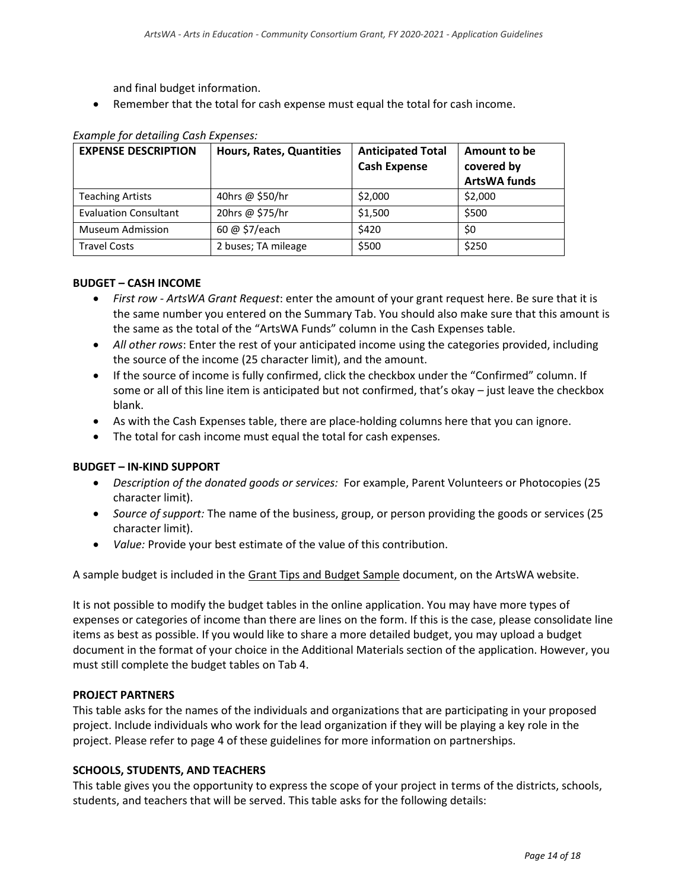and final budget information.

Remember that the total for cash expense must equal the total for cash income.

| <b>EXPENSE DESCRIPTION</b>   | <b>Hours, Rates, Quantities</b> | <b>Anticipated Total</b> | Amount to be        |
|------------------------------|---------------------------------|--------------------------|---------------------|
|                              |                                 | <b>Cash Expense</b>      | covered by          |
|                              |                                 |                          | <b>ArtsWA funds</b> |
| <b>Teaching Artists</b>      | 40hrs @ \$50/hr                 | \$2,000                  | \$2,000             |
| <b>Evaluation Consultant</b> | 20hrs @ \$75/hr                 | \$1,500                  | \$500               |
| <b>Museum Admission</b>      | 60 @ \$7/each                   | \$420                    | \$0                 |
| <b>Travel Costs</b>          | 2 buses; TA mileage             | \$500                    | \$250               |

### *Example for detailing Cash Expenses:*

### **BUDGET – CASH INCOME**

- *First row - ArtsWA Grant Request*: enter the amount of your grant request here. Be sure that it is the same number you entered on the Summary Tab. You should also make sure that this amount is the same as the total of the "ArtsWA Funds" column in the Cash Expenses table.
- *All other rows*: Enter the rest of your anticipated income using the categories provided, including the source of the income (25 character limit), and the amount.
- If the source of income is fully confirmed, click the checkbox under the "Confirmed" column. If some or all of this line item is anticipated but not confirmed, that's okay – just leave the checkbox blank.
- As with the Cash Expenses table, there are place-holding columns here that you can ignore.
- The total for cash income must equal the total for cash expenses*.*

#### **BUDGET – IN-KIND SUPPORT**

- *Description of the donated goods or services:* For example, Parent Volunteers or Photocopies (25 character limit).
- *Source of support:* The name of the business, group, or person providing the goods or services (25 character limit).
- *Value:* Provide your best estimate of the value of this contribution.

A sample budget is included in the Grant Tips [and Budget Sample](https://www.arts.wa.gov/grants/arts-in-education-grants/community-consortium-grants) document, on the ArtsWA website.

It is not possible to modify the budget tables in the online application. You may have more types of expenses or categories of income than there are lines on the form. If this is the case, please consolidate line items as best as possible. If you would like to share a more detailed budget, you may upload a budget document in the format of your choice in the Additional Materials section of the application. However, you must still complete the budget tables on Tab 4.

#### **PROJECT PARTNERS**

This table asks for the names of the individuals and organizations that are participating in your proposed project. Include individuals who work for the lead organization if they will be playing a key role in the project. Please refer to page 4 of these guidelines for more information on partnerships.

### **SCHOOLS, STUDENTS, AND TEACHERS**

This table gives you the opportunity to express the scope of your project in terms of the districts, schools, students, and teachers that will be served. This table asks for the following details: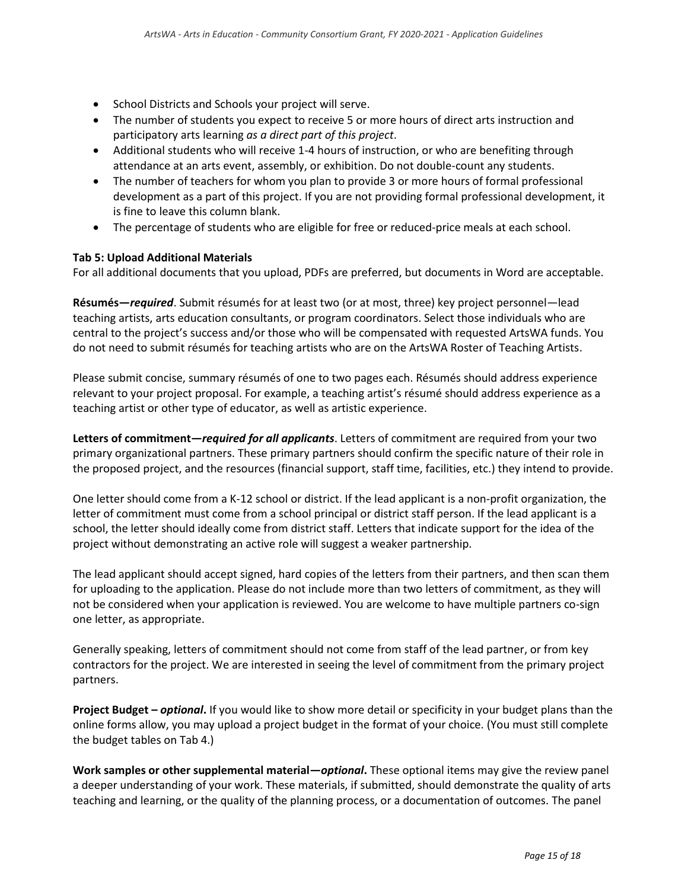- School Districts and Schools your project will serve.
- The number of students you expect to receive 5 or more hours of direct arts instruction and participatory arts learning *as a direct part of this project*.
- Additional students who will receive 1-4 hours of instruction, or who are benefiting through attendance at an arts event, assembly, or exhibition. Do not double-count any students.
- The number of teachers for whom you plan to provide 3 or more hours of formal professional development as a part of this project. If you are not providing formal professional development, it is fine to leave this column blank.
- The percentage of students who are eligible for free or reduced-price meals at each school.

### **Tab 5: Upload Additional Materials**

For all additional documents that you upload, PDFs are preferred, but documents in Word are acceptable.

**Résumés—***required*. Submit résumés for at least two (or at most, three) key project personnel—lead teaching artists, arts education consultants, or program coordinators. Select those individuals who are central to the project's success and/or those who will be compensated with requested ArtsWA funds. You do not need to submit résumés for teaching artists who are on the ArtsWA Roster of Teaching Artists.

Please submit concise, summary résumés of one to two pages each. Résumés should address experience relevant to your project proposal. For example, a teaching artist's résumé should address experience as a teaching artist or other type of educator, as well as artistic experience.

**Letters of commitment—***required for all applicants*. Letters of commitment are required from your two primary organizational partners. These primary partners should confirm the specific nature of their role in the proposed project, and the resources (financial support, staff time, facilities, etc.) they intend to provide.

One letter should come from a K-12 school or district. If the lead applicant is a non-profit organization, the letter of commitment must come from a school principal or district staff person. If the lead applicant is a school, the letter should ideally come from district staff. Letters that indicate support for the idea of the project without demonstrating an active role will suggest a weaker partnership.

The lead applicant should accept signed, hard copies of the letters from their partners, and then scan them for uploading to the application. Please do not include more than two letters of commitment, as they will not be considered when your application is reviewed. You are welcome to have multiple partners co-sign one letter, as appropriate.

Generally speaking, letters of commitment should not come from staff of the lead partner, or from key contractors for the project. We are interested in seeing the level of commitment from the primary project partners.

**Project Budget –** *optional***.** If you would like to show more detail or specificity in your budget plans than the online forms allow, you may upload a project budget in the format of your choice. (You must still complete the budget tables on Tab 4.)

**Work samples or other supplemental material—***optional***.** These optional items may give the review panel a deeper understanding of your work. These materials, if submitted, should demonstrate the quality of arts teaching and learning, or the quality of the planning process, or a documentation of outcomes. The panel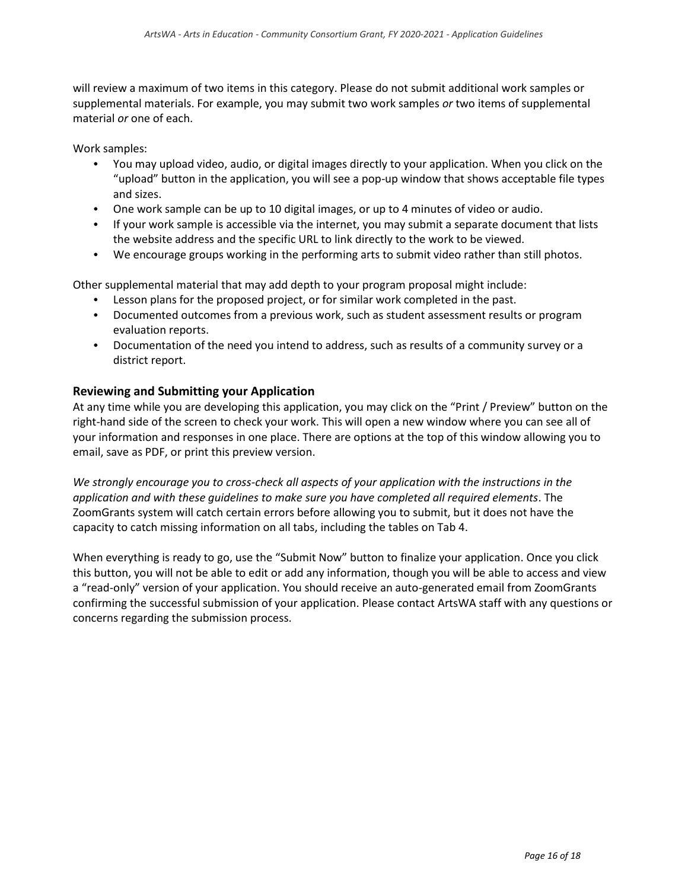will review a maximum of two items in this category. Please do not submit additional work samples or supplemental materials. For example, you may submit two work samples *or* two items of supplemental material *or* one of each.

Work samples:

- $\bullet$ You may upload video, audio, or digital images directly to your application. When you click on the "upload" button in the application, you will see a pop-up window that shows acceptable file types and sizes.
- One work sample can be up to 10 digital images, or up to 4 minutes of video or audio.
- If your work sample is accessible via the internet, you may submit a separate document that lists the website address and the specific URL to link directly to the work to be viewed.
- We encourage groups working in the performing arts to submit video rather than still photos.

Other supplemental material that may add depth to your program proposal might include:

- Lesson plans for the proposed project, or for similar work completed in the past.
- Documented outcomes from a previous work, such as student assessment results or program evaluation reports.
- Documentation of the need you intend to address, such as results of a community survey or a district report.

### **Reviewing and Submitting your Application**

At any time while you are developing this application, you may click on the "Print / Preview" button on the right-hand side of the screen to check your work. This will open a new window where you can see all of your information and responses in one place. There are options at the top of this window allowing you to email, save as PDF, or print this preview version.

*We strongly encourage you to cross-check all aspects of your application with the instructions in the application and with these guidelines to make sure you have completed all required elements*. The ZoomGrants system will catch certain errors before allowing you to submit, but it does not have the capacity to catch missing information on all tabs, including the tables on Tab 4.

<span id="page-15-0"></span>When everything is ready to go, use the "Submit Now" button to finalize your application. Once you click this button, you will not be able to edit or add any information, though you will be able to access and view a "read-only" version of your application. You should receive an auto-generated email from ZoomGrants confirming the successful submission of your application. Please contact ArtsWA staff with any questions or concerns regarding the submission process.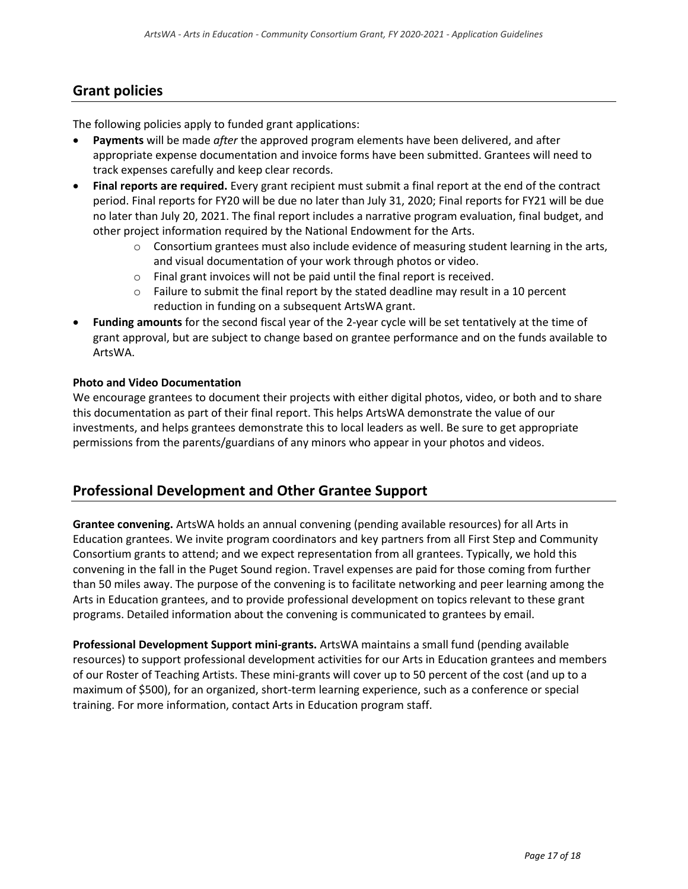### **Grant policies**

The following policies apply to funded grant applications:

- **Payments** will be made *after* the approved program elements have been delivered, and after appropriate expense documentation and invoice forms have been submitted. Grantees will need to track expenses carefully and keep clear records.
- **Final reports are required.** Every grant recipient must submit a final report at the end of the contract period. Final reports for FY20 will be due no later than July 31, 2020; Final reports for FY21 will be due no later than July 20, 2021. The final report includes a narrative program evaluation, final budget, and other project information required by the National Endowment for the Arts.
	- $\circ$  Consortium grantees must also include evidence of measuring student learning in the arts, and visual documentation of your work through photos or video.
	- o Final grant invoices will not be paid until the final report is received.
	- $\circ$  Failure to submit the final report by the stated deadline may result in a 10 percent reduction in funding on a subsequent ArtsWA grant.
- **Funding amounts** for the second fiscal year of the 2-year cycle will be set tentatively at the time of grant approval, but are subject to change based on grantee performance and on the funds available to ArtsWA.

### **Photo and Video Documentation**

We encourage grantees to document their projects with either digital photos, video, or both and to share this documentation as part of their final report. This helps ArtsWA demonstrate the value of our investments, and helps grantees demonstrate this to local leaders as well. Be sure to get appropriate permissions from the parents/guardians of any minors who appear in your photos and videos.

### <span id="page-16-0"></span>**Professional Development and Other Grantee Support**

**Grantee convening.** ArtsWA holds an annual convening (pending available resources) for all Arts in Education grantees. We invite program coordinators and key partners from all First Step and Community Consortium grants to attend; and we expect representation from all grantees. Typically, we hold this convening in the fall in the Puget Sound region. Travel expenses are paid for those coming from further than 50 miles away. The purpose of the convening is to facilitate networking and peer learning among the Arts in Education grantees, and to provide professional development on topics relevant to these grant programs. Detailed information about the convening is communicated to grantees by email.

<span id="page-16-1"></span>**Professional Development Support mini-grants.** ArtsWA maintains a small fund (pending available resources) to support professional development activities for our Arts in Education grantees and members of our Roster of Teaching Artists. These mini-grants will cover up to 50 percent of the cost (and up to a maximum of \$500), for an organized, short-term learning experience, such as a conference or special training. For more information, contact Arts in Education program staff.